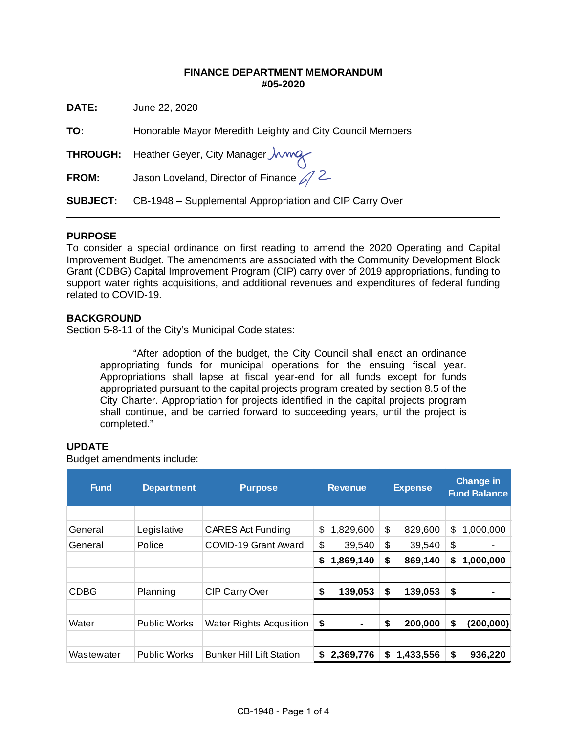## **FINANCE DEPARTMENT MEMORANDUM #05-2020**

**DATE:** June 22, 2020

**TO:** Honorable Mayor Meredith Leighty and City Council Members

**THROUGH:** Heather Geyer, City Manager *Jwwe* 

FROM: Jason Loveland, Director of Finance 2

**SUBJECT:** CB-1948 – Supplemental Appropriation and CIP Carry Over

# **PURPOSE**

 $\overline{a}$ 

To consider a special ordinance on first reading to amend the 2020 Operating and Capital Improvement Budget. The amendments are associated with the Community Development Block Grant (CDBG) Capital Improvement Program (CIP) carry over of 2019 appropriations, funding to support water rights acquisitions, and additional revenues and expenditures of federal funding related to COVID-19.

## **BACKGROUND**

Section 5-8-11 of the City's Municipal Code states:

"After adoption of the budget, the City Council shall enact an ordinance appropriating funds for municipal operations for the ensuing fiscal year. Appropriations shall lapse at fiscal year-end for all funds except for funds appropriated pursuant to the capital projects program created by section 8.5 of the City Charter. Appropriation for projects identified in the capital projects program shall continue, and be carried forward to succeeding years, until the project is completed."

#### **UPDATE**

Budget amendments include:

| <b>Fund</b> | <b>Department</b>   | <b>Purpose</b>                  | <b>Revenue</b> |                | <b>Expense</b> |           | <b>Change in</b><br><b>Fund Balance</b> |            |  |
|-------------|---------------------|---------------------------------|----------------|----------------|----------------|-----------|-----------------------------------------|------------|--|
|             |                     |                                 |                |                |                |           |                                         |            |  |
| General     | Legislative         | <b>CARES Act Funding</b>        | \$             | 1,829,600      | \$             | 829,600   | \$                                      | 1,000,000  |  |
| General     | Police              | COVID-19 Grant Award            | \$             | 39,540         | \$             | 39,540    | \$                                      | ۰          |  |
|             |                     |                                 | S              | 1,869,140      | \$             | 869,140   | S                                       | 1,000,000  |  |
|             |                     |                                 |                |                |                |           |                                         |            |  |
| <b>CDBG</b> | Planning            | CIP Carry Over                  | \$             | 139,053        | \$             | 139,053   | \$                                      |            |  |
|             |                     |                                 |                |                |                |           |                                         |            |  |
| Water       | <b>Public Works</b> | Water Rights Acqusition         | \$             | $\blacksquare$ | \$             | 200,000   | S                                       | (200, 000) |  |
|             |                     |                                 |                |                |                |           |                                         |            |  |
| Wastewater  | <b>Public Works</b> | <b>Bunker Hill Lift Station</b> | S.             | 2,369,776      | S              | 1,433,556 | S                                       | 936,220    |  |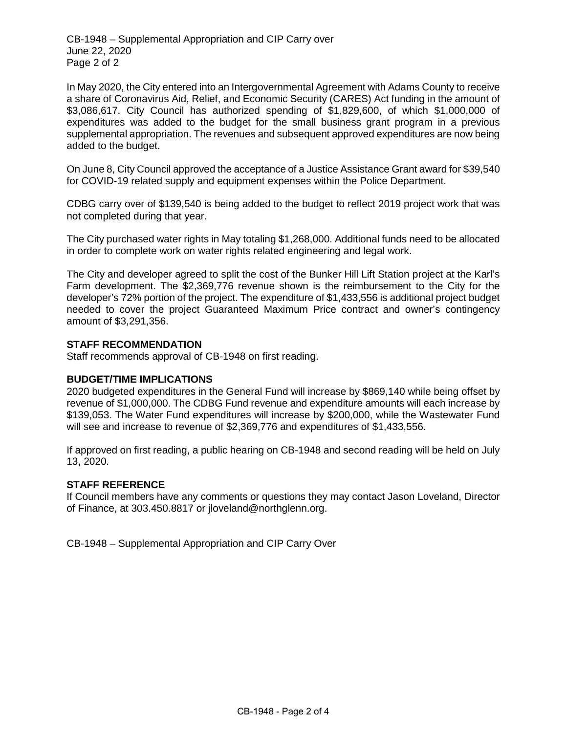CB-1948 – Supplemental Appropriation and CIP Carry over June 22, 2020 Page 2 of 2

In May 2020, the City entered into an Intergovernmental Agreement with Adams County to receive a share of Coronavirus Aid, Relief, and Economic Security (CARES) Act funding in the amount of \$3,086,617. City Council has authorized spending of \$1,829,600, of which \$1,000,000 of expenditures was added to the budget for the small business grant program in a previous supplemental appropriation. The revenues and subsequent approved expenditures are now being added to the budget.

On June 8, City Council approved the acceptance of a Justice Assistance Grant award for \$39,540 for COVID-19 related supply and equipment expenses within the Police Department.

CDBG carry over of \$139,540 is being added to the budget to reflect 2019 project work that was not completed during that year.

The City purchased water rights in May totaling \$1,268,000. Additional funds need to be allocated in order to complete work on water rights related engineering and legal work.

The City and developer agreed to split the cost of the Bunker Hill Lift Station project at the Karl's Farm development. The \$2,369,776 revenue shown is the reimbursement to the City for the developer's 72% portion of the project. The expenditure of \$1,433,556 is additional project budget needed to cover the project Guaranteed Maximum Price contract and owner's contingency amount of \$3,291,356.

#### **STAFF RECOMMENDATION**

Staff recommends approval of CB-1948 on first reading.

#### **BUDGET/TIME IMPLICATIONS**

2020 budgeted expenditures in the General Fund will increase by \$869,140 while being offset by revenue of \$1,000,000. The CDBG Fund revenue and expenditure amounts will each increase by \$139,053. The Water Fund expenditures will increase by \$200,000, while the Wastewater Fund will see and increase to revenue of \$2,369,776 and expenditures of \$1,433,556.

If approved on first reading, a public hearing on CB-1948 and second reading will be held on July 13, 2020.

#### **STAFF REFERENCE**

If Council members have any comments or questions they may contact Jason Loveland, Director of Finance, at 303.450.8817 or jloveland@northglenn.org.

CB-1948 – Supplemental Appropriation and CIP Carry Over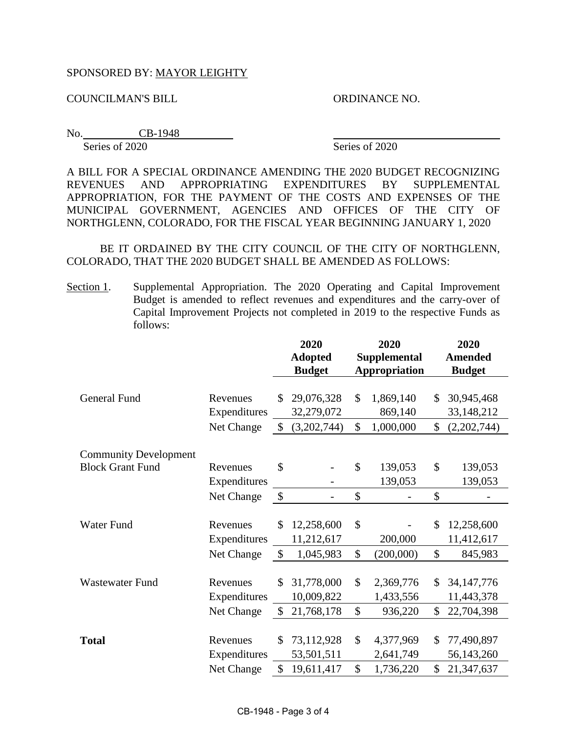# SPONSORED BY: MAYOR LEIGHTY

COUNCILMAN'S BILL ORDINANCE NO.

No. CB-1948 Series of 2020 Series of 2020

A BILL FOR A SPECIAL ORDINANCE AMENDING THE 2020 BUDGET RECOGNIZING REVENUES AND APPROPRIATING EXPENDITURES BY SUPPLEMENTAL APPROPRIATION, FOR THE PAYMENT OF THE COSTS AND EXPENSES OF THE MUNICIPAL GOVERNMENT, AGENCIES AND OFFICES OF THE CITY OF NORTHGLENN, COLORADO, FOR THE FISCAL YEAR BEGINNING JANUARY 1, 2020

BE IT ORDAINED BY THE CITY COUNCIL OF THE CITY OF NORTHGLENN, COLORADO, THAT THE 2020 BUDGET SHALL BE AMENDED AS FOLLOWS:

Section 1. Supplemental Appropriation. The 2020 Operating and Capital Improvement Budget is amended to reflect revenues and expenditures and the carry-over of Capital Improvement Projects not completed in 2019 to the respective Funds as follows:

|                                                         |                                        | 2020<br><b>Adopted</b><br><b>Budget</b> |                                         | 2020<br><b>Supplemental</b><br><b>Appropriation</b> |                                     |                     | 2020<br><b>Amended</b><br><b>Budget</b>  |
|---------------------------------------------------------|----------------------------------------|-----------------------------------------|-----------------------------------------|-----------------------------------------------------|-------------------------------------|---------------------|------------------------------------------|
| <b>General Fund</b>                                     | Revenues<br>Expenditures<br>Net Change | \$<br>$\mathcal{S}$                     | 29,076,328<br>32,279,072<br>(3,202,744) | \$<br>\$                                            | 1,869,140<br>869,140<br>1,000,000   | \$<br>\$            | 30,945,468<br>33,148,212<br>(2,202,744)  |
| <b>Community Development</b><br><b>Block Grant Fund</b> | Revenues<br>Expenditures<br>Net Change | \$<br>$\boldsymbol{\mathsf{S}}$         |                                         | $\mathcal{S}$<br>\$                                 | 139,053<br>139,053                  | \$<br>\$            | 139,053<br>139,053                       |
| Water Fund                                              | Revenues<br>Expenditures<br>Net Change | \$<br>$\sqrt{3}$                        | 12,258,600<br>11,212,617<br>1,045,983   | \$<br>\$                                            | 200,000<br>(200,000)                | \$<br>\$            | 12,258,600<br>11,412,617<br>845,983      |
| <b>Wastewater Fund</b>                                  | Revenues<br>Expenditures<br>Net Change | \$<br>\$                                | 31,778,000<br>10,009,822<br>21,768,178  | \$<br>\$                                            | 2,369,776<br>1,433,556<br>936,220   | \$<br>$\mathcal{S}$ | 34, 147, 776<br>11,443,378<br>22,704,398 |
| <b>Total</b>                                            | Revenues<br>Expenditures<br>Net Change | \$<br>\$                                | 73,112,928<br>53,501,511<br>19,611,417  | \$<br>\$                                            | 4,377,969<br>2,641,749<br>1,736,220 | \$<br>\$            | 77,490,897<br>56,143,260<br>21,347,637   |